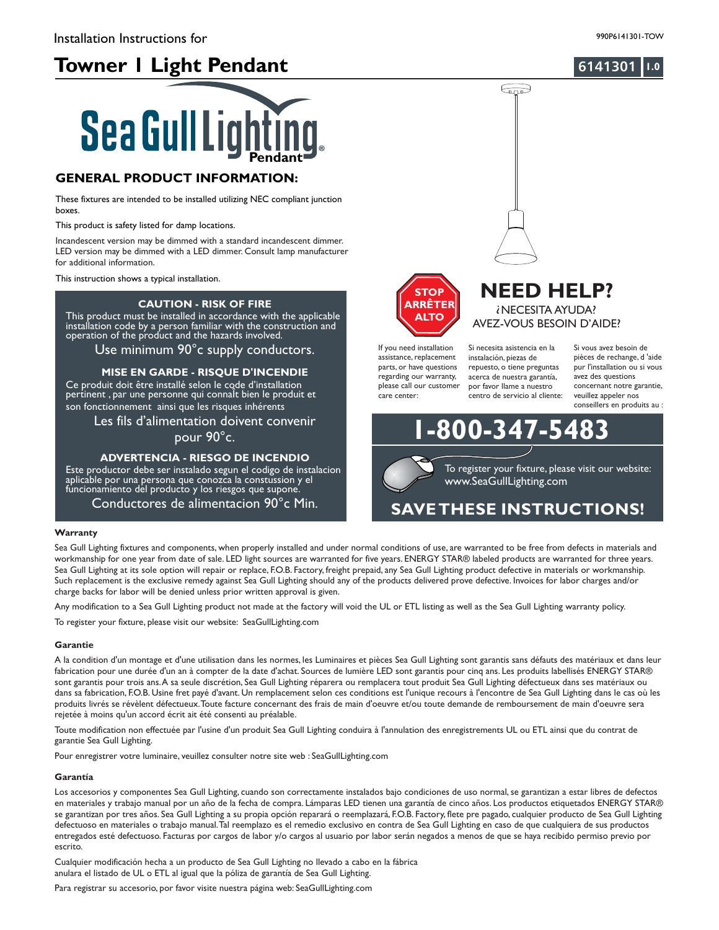## **Towner 1 Light Pendant 1.0**

### **6141301**

# **Sea Gull Lighting**

#### **GENERAL PRODUCT INFORMATION:**

These fixtures are intended to be installed utilizing NEC compliant junction boxes.

This product is safety listed for damp locations.

Incandescent version may be dimmed with a standard incandescent dimmer. LED version may be dimmed with a LED dimmer. Consult lamp manufacturer for additional information.

This instruction shows a typical installation.

#### **CAUTION - RISK OF FIRE**

by a person familiar with the co operation of the product and the nazards involved. This product must be installed in accordance with the applicable installation code by a person familiar with the construction and operation of the product and the hazards involved.

Use minimum 90°c supply conductors.

#### **MISE EN GARDE - RISQUE D'INCENDIE**

Ce produit doit être installé selon le code d'installation pertinent , par une personne qui connaÎt bien le produit et son fonctionnement ainsi que les risques inhérents

Les fils d'alimentation doivent convenir

pour 90°c.

#### **ADVERTENCIA - RIESGO DE INCENDIO**

Este productor debe ser instalado segun el codigo de instalacion aplicable por una persona que conozca la constussion y el funcionamiento del producto y los riesgos que supone.

Conductores de alimentacion 90°c Min.

#### **Warranty**

Sea Gull Lighting fixtures and components, when properly installed and under normal conditions of use, are warranted to be free from defects in materials and workmanship for one year from date of sale. LED light sources are warranted for five years. ENERGY STAR® labeled products are warranted for three years. Sea Gull Lighting at its sole option will repair or replace, F.O.B. Factory, freight prepaid, any Sea Gull Lighting product defective in materials or workmanship. Such replacement is the exclusive remedy against Sea Gull Lighting should any of the products delivered prove defective. Invoices for labor charges and/or charge backs for labor will be denied unless prior written approval is given.

Any modification to a Sea Gull Lighting product not made at the factory will void the UL or ETL listing as well as the Sea Gull Lighting warranty policy.

To register your fixture, please visit our website: SeaGullLighting.com

#### **Garantie**

A la condition d'un montage et d'une utilisation dans les normes, les Luminaires et pièces Sea Gull Lighting sont garantis sans défauts des matériaux et dans leur fabrication pour une durée d'un an à compter de la date d'achat. Sources de lumière LED sont garantis pour cinq ans. Les produits labellisés ENERGY STAR® sont garantis pour trois ans.A sa seule discrétion, Sea Gull Lighting réparera ou remplacera tout produit Sea Gull Lighting défectueux dans ses matériaux ou dans sa fabrication, F.O.B. Usine fret payé d'avant. Un remplacement selon ces conditions est l'unique recours à l'encontre de Sea Gull Lighting dans le cas où les produits livrés se révèlent défectueux.Toute facture concernant des frais de main d'oeuvre et/ou toute demande de remboursement de main d'oeuvre sera rejetée à moins qu'un accord écrit ait été consenti au préalable.

Toute modification non effectuée par l'usine d'un produit Sea Gull Lighting conduira à l'annulation des enregistrements UL ou ETL ainsi que du contrat de garantie Sea Gull Lighting.

Pour enregistrer votre luminaire, veuillez consulter notre site web : SeaGullLighting.com

#### **Garantía**

Los accesorios y componentes Sea Gull Lighting, cuando son correctamente instalados bajo condiciones de uso normal, se garantizan a estar libres de defectos en materiales y trabajo manual por un año de la fecha de compra. Lámparas LED tienen una garantía de cinco años. Los productos etiquetados ENERGY STAR® se garantizan por tres años. Sea Gull Lighting a su propia opción reparará o reemplazará, F.O.B. Factory, flete pre pagado, cualquier producto de Sea Gull Lighting defectuoso en materiales o trabajo manual.Tal reemplazo es el remedio exclusivo en contra de Sea Gull Lighting en caso de que cualquiera de sus productos entregados esté defectuoso. Facturas por cargos de labor y/o cargos al usuario por labor serán negados a menos de que se haya recibido permiso previo por escrito.

Cualquier modificación hecha a un producto de Sea Gull Lighting no llevado a cabo en la fábrica anulara el listado de UL o ETL al igual que la póliza de garantía de Sea Gull Lighting.

Para registrar su accesorio, por favor visite nuestra página web: SeaGullLighting.com



If you need installation assistance, replacement parts, or have questions regarding our warranty, please call our customer care center:

Si necesita asistencia en la instalación, piezas de repuesto, o tiene preguntas acerca de nuestra garantía, por favor llame a nuestro centro de servicio al cliente:

 $\bigoplus$ 

Si vous avez besoin de pièces de rechange, d 'aide pur l'installation ou si vous avez des questions concernant notre garantie, veuillez appeler nos conseillers en produits au :



www.SeaGullLighting.com To register your fixture, please visit our website:

**NEED HELP?** ? NECESITA AYUDA? AVEZ-VOUS BESOIN D'AIDE?

## **SAVETHESE INSTRUCTIONS!**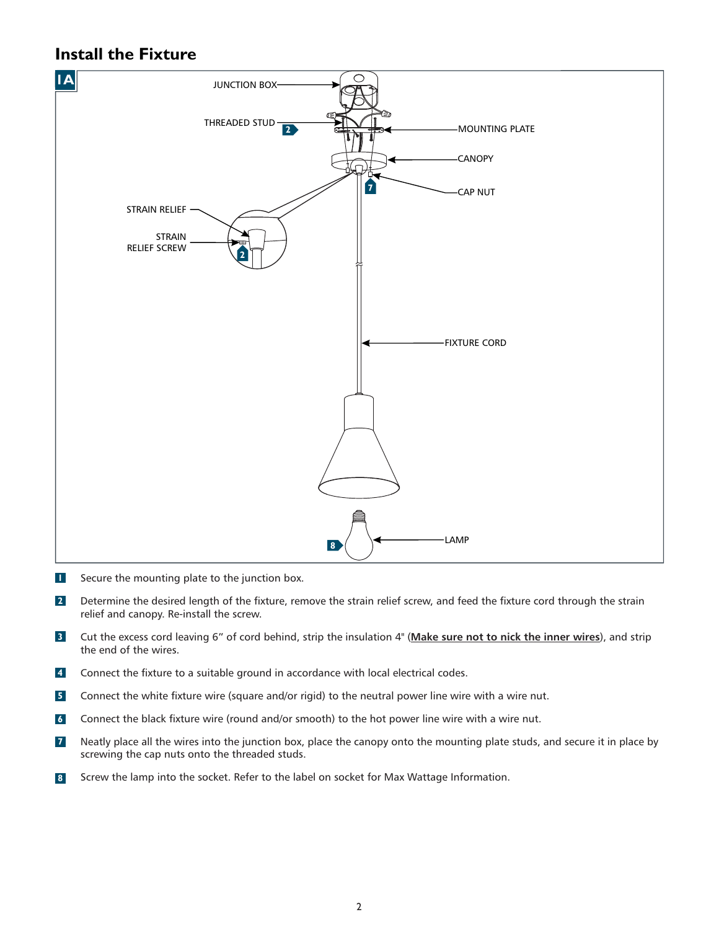## **Install the Fixture**



- Secure the mounting plate to the junction box. **1**
- Determine the desired length of the fixture, remove the strain relief screw, and feed the fixture cord through the strain relief and canopy. Re-install the screw. **2**
- Cut the excess cord leaving 6" of cord behind, strip the insulation 4" (Make sure not to nick the inner wires), and strip the end of the wires. **3**
- Connect the fixture to a suitable ground in accordance with local electrical codes. **4**
- Connect the white fixture wire (square and/or rigid) to the neutral power line wire with a wire nut. **5**
- Connect the black fixture wire (round and/or smooth) to the hot power line wire with a wire nut. **6**
- Neatly place all the wires into the junction box, place the canopy onto the mounting plate studs, and secure it in place by screwing the cap nuts onto the threaded studs. **7**
- Screw the lamp into the socket. Refer to the label on socket for Max Wattage Information. **8**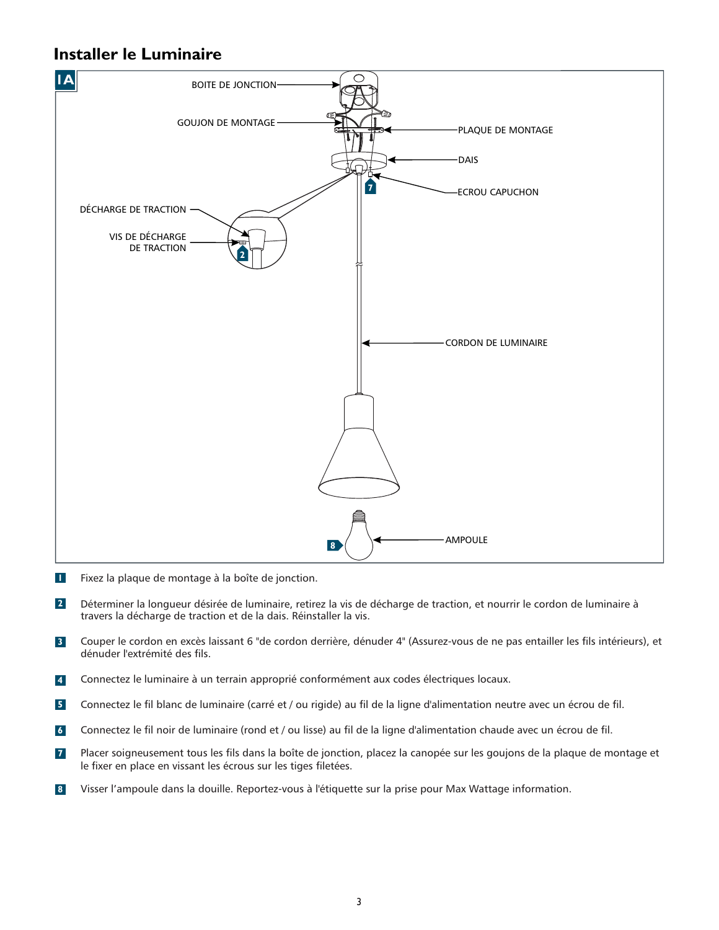## **Installer le Luminaire**



- Fixez la plaque de montage à la boîte de jonction. **1**
- Déterminer la longueur désirée de luminaire, retirez la vis de décharge de traction, et nourrir le cordon de luminaire à travers la décharge de traction et de la dais. Réinstaller la vis. **2**
- Couper le cordon en excès laissant 6 "de cordon derrière, dénuder 4" (Assurez-vous de ne pas entailler les fils intérieurs), et dénuder l'extrémité des fils. **3**
- Connectez le luminaire à un terrain approprié conformément aux codes électriques locaux. **4**
- Connectez le fil blanc de luminaire (carré et / ou rigide) au fil de la ligne d'alimentation neutre avec un écrou de fil. **5**
- Connectez le fil noir de luminaire (rond et / ou lisse) au fil de la ligne d'alimentation chaude avec un écrou de fil. **6**
- Placer soigneusement tous les fils dans la boîte de jonction, placez la canopée sur les goujons de la plaque de montage et le fixer en place en vissant les écrous sur les tiges filetées. **7**
- Visser l'ampoule dans la douille. Reportez-vous à l'étiquette sur la prise pour Max Wattage information. **8**